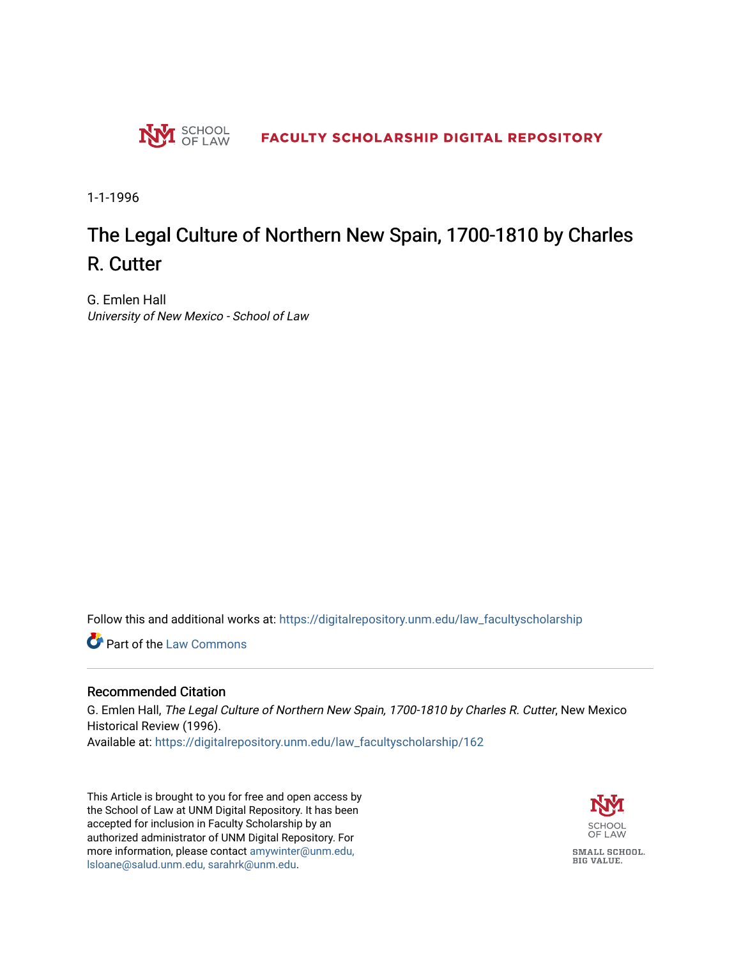

1-1-1996

## The Legal Culture of Northern New Spain, 1700-1810 by Charles R. Cutter

G. Emlen Hall University of New Mexico - School of Law

Follow this and additional works at: [https://digitalrepository.unm.edu/law\\_facultyscholarship](https://digitalrepository.unm.edu/law_facultyscholarship?utm_source=digitalrepository.unm.edu%2Flaw_facultyscholarship%2F162&utm_medium=PDF&utm_campaign=PDFCoverPages) 

Part of the [Law Commons](http://network.bepress.com/hgg/discipline/578?utm_source=digitalrepository.unm.edu%2Flaw_facultyscholarship%2F162&utm_medium=PDF&utm_campaign=PDFCoverPages)

## Recommended Citation

G. Emlen Hall, The Legal Culture of Northern New Spain, 1700-1810 by Charles R. Cutter, New Mexico Historical Review (1996). Available at: [https://digitalrepository.unm.edu/law\\_facultyscholarship/162](https://digitalrepository.unm.edu/law_facultyscholarship/162?utm_source=digitalrepository.unm.edu%2Flaw_facultyscholarship%2F162&utm_medium=PDF&utm_campaign=PDFCoverPages) 

This Article is brought to you for free and open access by the School of Law at UNM Digital Repository. It has been accepted for inclusion in Faculty Scholarship by an authorized administrator of UNM Digital Repository. For more information, please contact [amywinter@unm.edu,](mailto:amywinter@unm.edu,%20lsloane@salud.unm.edu,%20sarahrk@unm.edu)  [lsloane@salud.unm.edu, sarahrk@unm.edu.](mailto:amywinter@unm.edu,%20lsloane@salud.unm.edu,%20sarahrk@unm.edu)

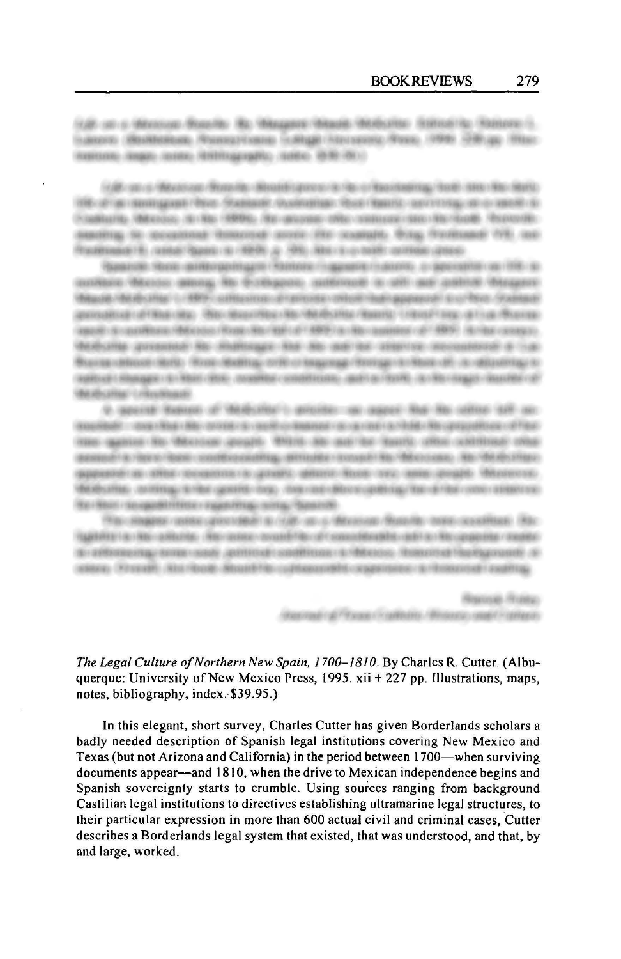(LE) cat is Minimum Boarder. Box Minimum Minimum Minimum Statistics (Statistics Challenge). Lakero (Boldeleas Associations Laker) Strassic Area, 1991 1991 Blue mainess maps make shiftsprake, sales left (6);

(4) Breat of Massivan Minnella: Beaudi (annon is rise of Rasidaditis) (bob) data Racikisto THE UP ON THE ENERGY PRICE - FOURTHERN PLANTERED FROM THE CONTROL OF A REPORT OF Foakuris, Microso, in No 1999), No accosts who contrast sterritories from the meeting to occasional thinkinds source the sculpply. Bugg frankings 199, not Radmark (and New or 1976) a 199, les suivant armed also

Gascon Hynn antergeringen Hynnes Fragment Frances, o generator on 198-30. audein Mass along his Econopsis, substant is old and audite Haupts. Waste Wellshire 1. 699 contactors of prices in this has appeared a critical design approximate of Houssiana - Welcomaterials and contributions research - return to any activity reference (appli) di castillazzo (Microso (Rogo Rochia) con 1899) la citta castillazi di 1899). Il citta consegno dealering government are anomorphy and are man for research accommodate of con-Residential of the state of the company of the approach and contact the contact of THE CONSULTATION OF THE CONSULTANCE CONSULTANCE INTO A REPORT OF THE CONSULTANCE OF THE CONSULTANCE OF THE CONSULTANCE OF THE CONSULTANCE OF THE CONSULTANCE OF THE CONSULTANCE OF THE CONSULTANCE OF THE CONSULTANCE OF THE C Noticital Univiral

9. Applicate Radicato, or McMichillan, is applicable, the stages Rive Ric contract call out and the special control with the research of the state of the state of the state of the state of the state of the state of the state of the state of the state of the state of the state of the state of the state of the stat inter quasien the Mexicon groups. Write the worldon family offer colditions who against a reconnect same control control and a server of the determinant and dealership appearer as other recentive to greate seminar finals and contact the antidealership, conting, sinke genetic cop, coancer-denniqueling the arrise contraction Box Book / Scrape Galleries / Experience / Scrape Corp.

PRIC ANALISE contra cannonista in cruit, on a Microsom Pisoche, none coostitues. Sixsuppliers to this collulate. His ratios, available of considerable and as the opposite ratios. (6) DRIVING HER LIGHT SOLE CONTROLS CONTROLS CONTROLS TO MAKE THE REPAIR OF A 1999 asses. Firmall: Also look-Straight-cultivariable copiesses a rinsurest custop.

> Rence Roles (Restricts) (a) Princes (NewMetric / Biologic) (search Network)

## *The Legal Culture of Northern New Spain, 1700-1810.* By Charles R. Cutter. (Albuquerque: University of New Mexico Press, 1995. xii + 227 pp. Illustrations, maps, notes, bibliography, index. \$39.95.)

In this elegant, short survey, Charles Cutter has given Borderlands scholars a badly needed description of Spanish legal institutions covering New Mexico and Texas (but not Arizona and California) in the period between 1700—when surviving documents appear—and 1810, when the drive to Mexican independence begins and Spanish sovereignty starts to crumble. Using sources ranging from background Castilian legal institutions to directives establishing ultramarine legal structures, to their particular expression in more than 600 actual civil and criminal cases, Cutter describes a Borderlands legal system that existed, that was understood, and that, by and large, worked.